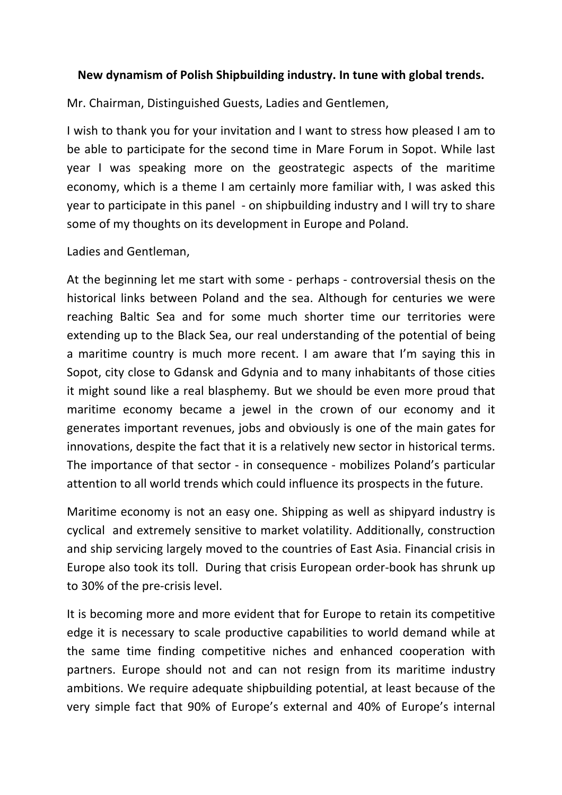## **New dynamism of Polish Shipbuilding industry. In tune with global trends.**

Mr. Chairman, Distinguished Guests, Ladies and Gentlemen,

I wish to thank you for your invitation and I want to stress how pleased I am to be able to participate for the second time in Mare Forum in Sopot. While last year I was speaking more on the geostrategic aspects of the maritime economy, which is a theme I am certainly more familiar with, I was asked this year to participate in this panel - on shipbuilding industry and I will try to share some of my thoughts on its development in Europe and Poland.

## Ladies and Gentleman,

At the beginning let me start with some - perhaps - controversial thesis on the historical links between Poland and the sea. Although for centuries we were reaching Baltic Sea and for some much shorter time our territories were extending up to the Black Sea, our real understanding of the potential of being a maritime country is much more recent. I am aware that I'm saying this in Sopot, city close to Gdansk and Gdynia and to many inhabitants of those cities it might sound like a real blasphemy. But we should be even more proud that maritime economy became a jewel in the crown of our economy and it generates important revenues, jobs and obviously is one of the main gates for innovations, despite the fact that it is a relatively new sector in historical terms. The importance of that sector - in consequence - mobilizes Poland's particular attention to all world trends which could influence its prospects in the future.

Maritime economy is not an easy one. Shipping as well as shipyard industry is cyclical and extremely sensitive to market volatility. Additionally, construction and ship servicing largely moved to the countries of East Asia. Financial crisis in Europe also took its toll. During that crisis European order-book has shrunk up to 30% of the pre-crisis level.

It is becoming more and more evident that for Europe to retain its competitive edge it is necessary to scale productive capabilities to world demand while at the same time finding competitive niches and enhanced cooperation with partners. Europe should not and can not resign from its maritime industry ambitions. We require adequate shipbuilding potential, at least because of the very simple fact that 90% of Europe's external and 40% of Europe's internal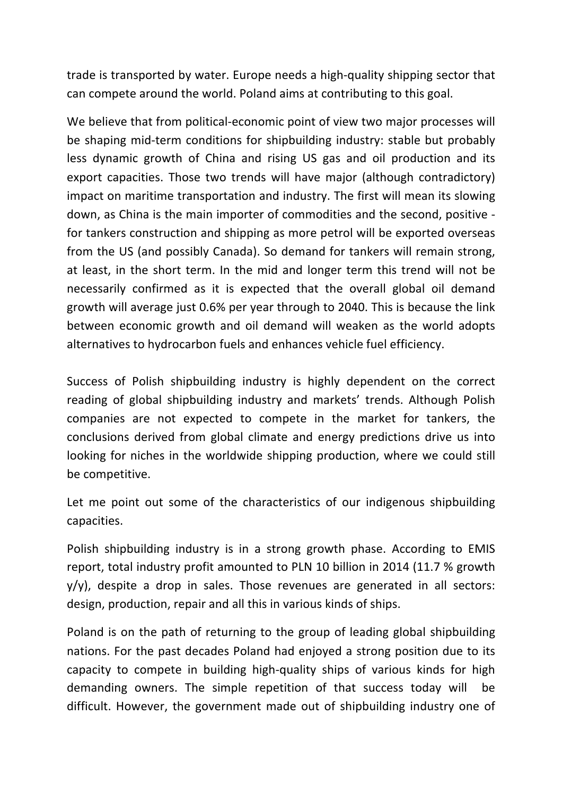trade is transported by water. Europe needs a high-quality shipping sector that can compete around the world. Poland aims at contributing to this goal.

We believe that from political-economic point of view two major processes will be shaping mid-term conditions for shipbuilding industry: stable but probably less dynamic growth of China and rising US gas and oil production and its export capacities. Those two trends will have major (although contradictory) impact on maritime transportation and industry. The first will mean its slowing down, as China is the main importer of commodities and the second, positive for tankers construction and shipping as more petrol will be exported overseas from the US (and possibly Canada). So demand for tankers will remain strong, at least, in the short term. In the mid and longer term this trend will not be necessarily confirmed as it is expected that the overall global oil demand growth will average just 0.6% per year through to 2040. This is because the link between economic growth and oil demand will weaken as the world adopts alternatives to hydrocarbon fuels and enhances vehicle fuel efficiency.

Success of Polish shipbuilding industry is highly dependent on the correct reading of global shipbuilding industry and markets' trends. Although Polish companies are not expected to compete in the market for tankers, the conclusions derived from global climate and energy predictions drive us into looking for niches in the worldwide shipping production, where we could still be competitive.

Let me point out some of the characteristics of our indigenous shipbuilding capacities.

Polish shipbuilding industry is in a strong growth phase. According to EMIS report, total industry profit amounted to PLN 10 billion in 2014 (11.7 % growth  $y/y$ ), despite a drop in sales. Those revenues are generated in all sectors: design, production, repair and all this in various kinds of ships.

Poland is on the path of returning to the group of leading global shipbuilding nations. For the past decades Poland had enjoyed a strong position due to its capacity to compete in building high-quality ships of various kinds for high demanding owners. The simple repetition of that success today will be difficult. However, the government made out of shipbuilding industry one of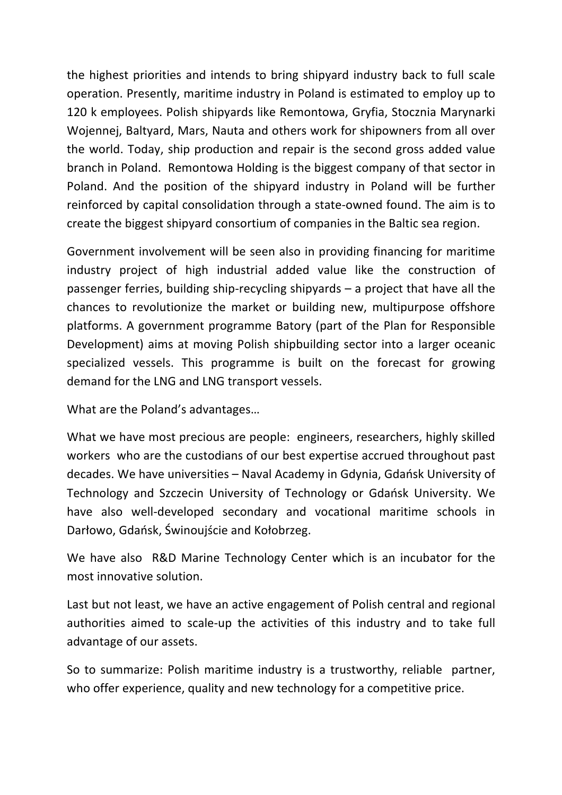the highest priorities and intends to bring shipyard industry back to full scale operation. Presently, maritime industry in Poland is estimated to employ up to 120 k employees. Polish shipyards like Remontowa, Gryfia, Stocznia Marynarki Wojennej, Baltyard, Mars, Nauta and others work for shipowners from all over the world. Today, ship production and repair is the second gross added value branch in Poland. Remontowa Holding is the biggest company of that sector in Poland. And the position of the shipyard industry in Poland will be further reinforced by capital consolidation through a state-owned found. The aim is to create the biggest shipyard consortium of companies in the Baltic sea region.

Government involvement will be seen also in providing financing for maritime industry project of high industrial added value like the construction of passenger ferries, building ship-recycling shipyards  $-$  a project that have all the chances to revolutionize the market or building new, multipurpose offshore platforms. A government programme Batory (part of the Plan for Responsible Development) aims at moving Polish shipbuilding sector into a larger oceanic specialized vessels. This programme is built on the forecast for growing demand for the LNG and LNG transport vessels.

What are the Poland's advantages...

What we have most precious are people: engineers, researchers, highly skilled workers who are the custodians of our best expertise accrued throughout past decades. We have universities – Naval Academy in Gdynia, Gdańsk University of Technology and Szczecin University of Technology or Gdańsk University. We have also well-developed secondary and vocational maritime schools in Darłowo, Gdańsk, Świnoujście and Kołobrzeg.

We have also R&D Marine Technology Center which is an incubator for the most innovative solution.

Last but not least, we have an active engagement of Polish central and regional authorities aimed to scale-up the activities of this industry and to take full advantage of our assets.

So to summarize: Polish maritime industry is a trustworthy, reliable partner, who offer experience, quality and new technology for a competitive price.